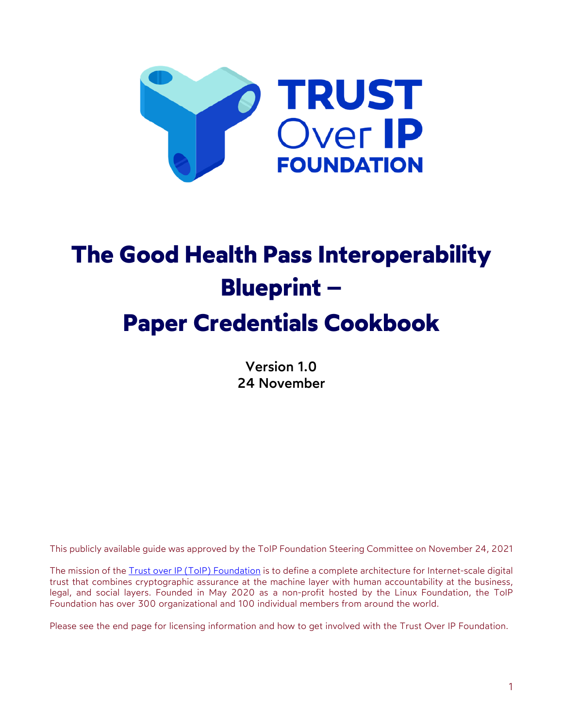

# **The Good Health Pass Interoperability Blueprint – Paper Credentials Cookbook**

Version 1.0 24 November

This publicly available guide was approved by the ToIP Foundation Steering Committee on November 24, 2021

The mission of the Trust over IP (ToIP) Foundation is to define a complete architecture for Internet-scale digital trust that combines cryptographic assurance at the machine layer with human accountability at the business, legal, and social layers. Founded in May 2020 as a non-profit hosted by the Linux Foundation, the ToIP Foundation has over 300 organizational and 100 individual members from around the world.

Please see the end page for licensing information and how to get involved with the Trust Over IP Foundation.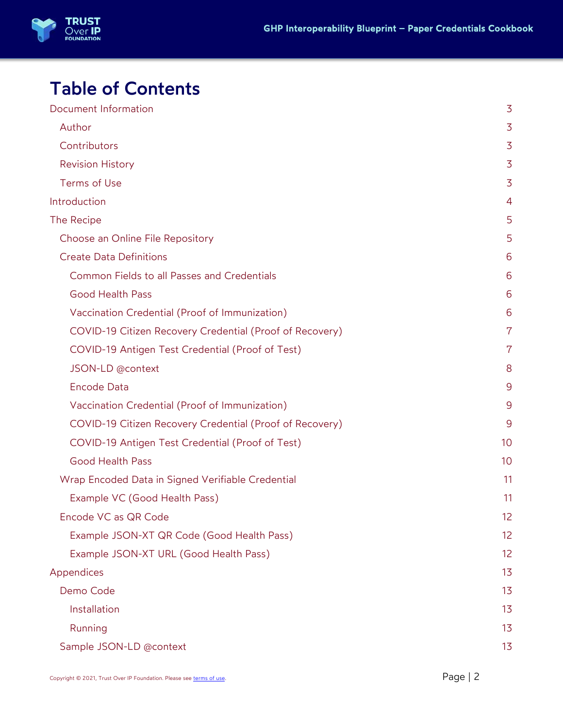

# Table of Contents

| Document Information                                     |                |
|----------------------------------------------------------|----------------|
| Author                                                   |                |
| Contributors                                             | $\overline{3}$ |
| <b>Revision History</b>                                  | $\overline{3}$ |
| Terms of Use                                             | $\overline{3}$ |
| Introduction                                             | 4              |
| The Recipe                                               | 5              |
| Choose an Online File Repository                         | 5              |
| <b>Create Data Definitions</b>                           | 6              |
| Common Fields to all Passes and Credentials              | 6              |
| <b>Good Health Pass</b>                                  | 6              |
| Vaccination Credential (Proof of Immunization)           | 6              |
| COVID-19 Citizen Recovery Credential (Proof of Recovery) | $\overline{7}$ |
| COVID-19 Antigen Test Credential (Proof of Test)         | 7              |
| JSON-LD @context                                         | 8              |
| Encode Data                                              | 9              |
| Vaccination Credential (Proof of Immunization)           | 9              |
| COVID-19 Citizen Recovery Credential (Proof of Recovery) | 9              |
| COVID-19 Antigen Test Credential (Proof of Test)         | 10             |
| <b>Good Health Pass</b>                                  | 10             |
| Wrap Encoded Data in Signed Verifiable Credential        | 11             |
| Example VC (Good Health Pass)                            | 11             |
| Encode VC as QR Code                                     | 12             |
| Example JSON-XT QR Code (Good Health Pass)               | 12             |
| Example JSON-XT URL (Good Health Pass)                   | 12             |
| Appendices                                               | 13             |
| Demo Code                                                | 13             |
| Installation                                             | 13             |
| Running                                                  | 13             |
| Sample JSON-LD @context                                  | 13             |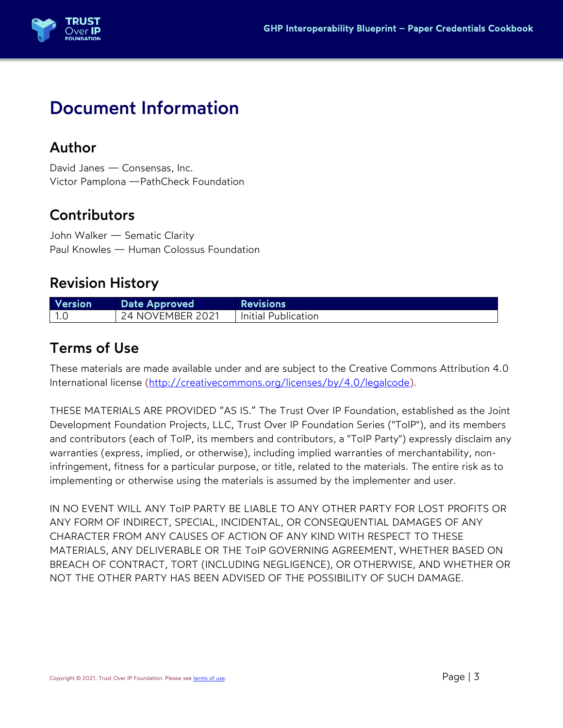

# Document Information

### Author

David Janes — Consensas, Inc. Victor Pamplona —PathCheck Foundation

# **Contributors**

John Walker — Sematic Clarity Paul Knowles — Human Colossus Foundation

# Revision History

| <b>Version</b> | Date Approved           | <b>Revisions</b>    |
|----------------|-------------------------|---------------------|
| l 1.0          | <b>24 NOVEMBER 2021</b> | Initial Publication |

### Terms of Use

These materials are made available under and are subject to the Creative Commons Attribution 4.0 International license (http://creativecommons.org/licenses/by/4.0/legalcode).

THESE MATERIALS ARE PROVIDED "AS IS." The Trust Over IP Foundation, established as the Joint Development Foundation Projects, LLC, Trust Over IP Foundation Series ("ToIP"), and its members and contributors (each of ToIP, its members and contributors, a "ToIP Party") expressly disclaim any warranties (express, implied, or otherwise), including implied warranties of merchantability, noninfringement, fitness for a particular purpose, or title, related to the materials. The entire risk as to implementing or otherwise using the materials is assumed by the implementer and user.

IN NO EVENT WILL ANY ToIP PARTY BE LIABLE TO ANY OTHER PARTY FOR LOST PROFITS OR ANY FORM OF INDIRECT, SPECIAL, INCIDENTAL, OR CONSEQUENTIAL DAMAGES OF ANY CHARACTER FROM ANY CAUSES OF ACTION OF ANY KIND WITH RESPECT TO THESE MATERIALS, ANY DELIVERABLE OR THE ToIP GOVERNING AGREEMENT, WHETHER BASED ON BREACH OF CONTRACT, TORT (INCLUDING NEGLIGENCE), OR OTHERWISE, AND WHETHER OR NOT THE OTHER PARTY HAS BEEN ADVISED OF THE POSSIBILITY OF SUCH DAMAGE.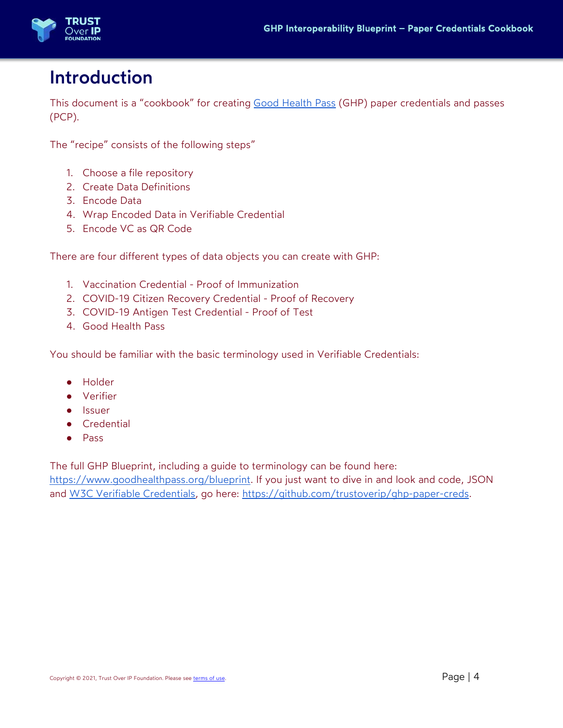

# Introduction

This document is a "cookbook" for creating Good Health Pass (GHP) paper credentials and passes (PCP).

The "recipe" consists of the following steps"

- 1. Choose a file repository
- 2. Create Data Definitions
- 3. Encode Data
- 4. Wrap Encoded Data in Verifiable Credential
- 5. Encode VC as QR Code

There are four different types of data objects you can create with GHP:

- 1. Vaccination Credential Proof of Immunization
- 2. COVID-19 Citizen Recovery Credential Proof of Recovery
- 3. COVID-19 Antigen Test Credential Proof of Test
- 4. Good Health Pass

You should be familiar with the basic terminology used in Verifiable Credentials:

- Holder
- Verifier
- Issuer
- Credential
- Pass

The full GHP Blueprint, including a guide to terminology can be found here: https://www.goodhealthpass.org/blueprint. If you just want to dive in and look and code, JSON and W3C Verifiable Credentials, go here: https://github.com/trustoverip/ghp-paper-creds.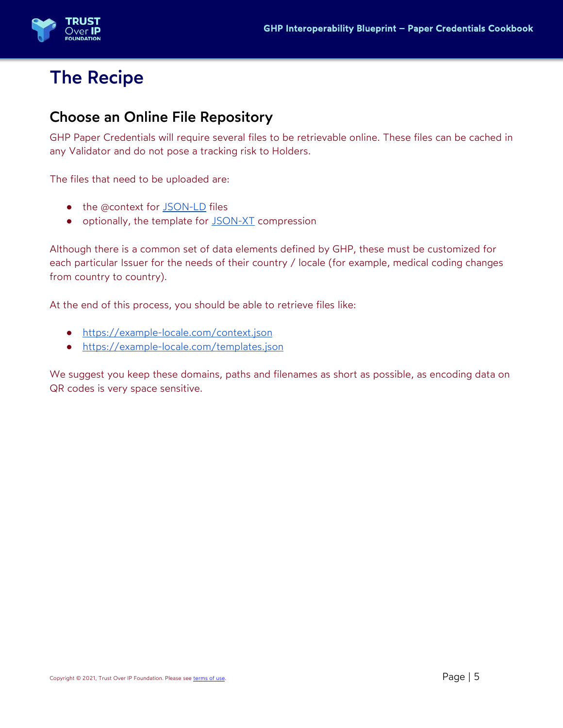

# The Recipe

### Choose an Online File Repository

GHP Paper Credentials will require several files to be retrievable online. These files can be cached in any Validator and do not pose a tracking risk to Holders.

The files that need to be uploaded are:

- the @context for JSON-LD files
- optionally, the template for JSON-XT compression

Although there is a common set of data elements defined by GHP, these must be customized for each particular Issuer for the needs of their country / locale (for example, medical coding changes from country to country).

At the end of this process, you should be able to retrieve files like:

- https://example-locale.com/context.json
- https://example-locale.com/templates.json

We suggest you keep these domains, paths and filenames as short as possible, as encoding data on QR codes is very space sensitive.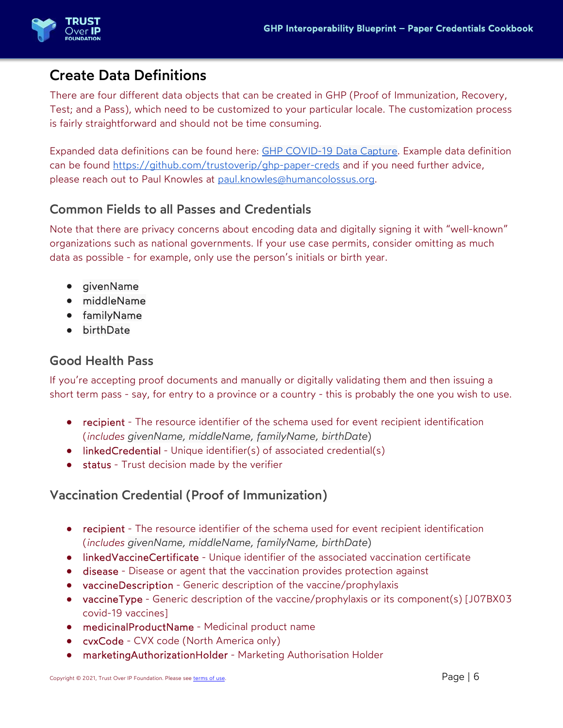

# Create Data Definitions

There are four different data objects that can be created in GHP (Proof of Immunization, Recovery, Test; and a Pass), which need to be customized to your particular locale. The customization process is fairly straightforward and should not be time consuming.

Expanded data definitions can be found here: GHP COVID-19 Data Capture. Example data definition can be found https://github.com/trustoverip/ghp-paper-creds and if you need further advice, please reach out to Paul Knowles at paul.knowles@humancolossus.org.

#### Common Fields to all Passes and Credentials

Note that there are privacy concerns about encoding data and digitally signing it with "well-known" organizations such as national governments. If your use case permits, consider omitting as much data as possible - for example, only use the person's initials or birth year.

- givenName
- middleName
- familyName
- birthDate

#### Good Health Pass

If you're accepting proof documents and manually or digitally validating them and then issuing a short term pass - say, for entry to a province or a country - this is probably the one you wish to use.

- recipient The resource identifier of the schema used for event recipient identification (*includes givenName, middleName, familyName, birthDate*)
- linkedCredential Unique identifier(s) of associated credential(s)
- status Trust decision made by the verifier

#### Vaccination Credential (Proof of Immunization)

- recipient The resource identifier of the schema used for event recipient identification (*includes givenName, middleName, familyName, birthDate*)
- linkedVaccineCertificate Unique identifier of the associated vaccination certificate
- disease Disease or agent that the vaccination provides protection against
- vaccineDescription Generic description of the vaccine/prophylaxis
- vaccineType Generic description of the vaccine/prophylaxis or its component(s) [J07BX03 covid-19 vaccines]
- medicinalProductName Medicinal product name
- cvxCode CVX code (North America only)
- marketingAuthorizationHolder Marketing Authorisation Holder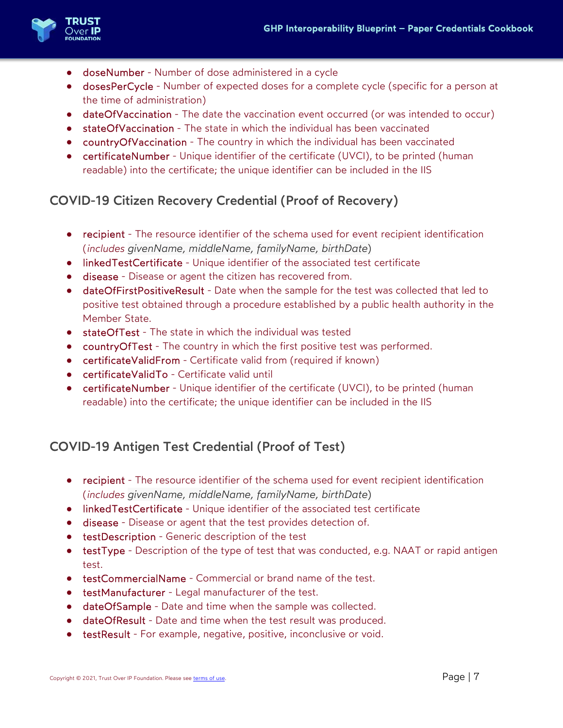

- doseNumber Number of dose administered in a cycle
- dosesPerCycle Number of expected doses for a complete cycle (specific for a person at the time of administration)
- dateOfVaccination The date the vaccination event occurred (or was intended to occur)
- stateOfVaccination The state in which the individual has been vaccinated
- countryOfVaccination The country in which the individual has been vaccinated
- certificateNumber Unique identifier of the certificate (UVCI), to be printed (human readable) into the certificate; the unique identifier can be included in the IIS

#### COVID-19 Citizen Recovery Credential (Proof of Recovery)

- recipient The resource identifier of the schema used for event recipient identification (*includes givenName, middleName, familyName, birthDate*)
- linkedTestCertificate Unique identifier of the associated test certificate
- disease Disease or agent the citizen has recovered from.
- dateOfFirstPositiveResult Date when the sample for the test was collected that led to positive test obtained through a procedure established by a public health authority in the Member State.
- stateOfTest The state in which the individual was tested
- countryOfTest The country in which the first positive test was performed.
- **•** certificateValidFrom Certificate valid from (required if known)
- certificateValidTo Certificate valid until
- certificateNumber Unique identifier of the certificate (UVCI), to be printed (human readable) into the certificate; the unique identifier can be included in the IIS

#### COVID-19 Antigen Test Credential (Proof of Test)

- recipient The resource identifier of the schema used for event recipient identification (*includes givenName, middleName, familyName, birthDate*)
- linkedTestCertificate Unique identifier of the associated test certificate
- disease Disease or agent that the test provides detection of.
- testDescription Generic description of the test
- testType Description of the type of test that was conducted, e.g. NAAT or rapid antigen test.
- testCommercialName Commercial or brand name of the test.
- testManufacturer Legal manufacturer of the test.
- dateOfSample Date and time when the sample was collected.
- dateOfResult Date and time when the test result was produced.
- testResult For example, negative, positive, inconclusive or void.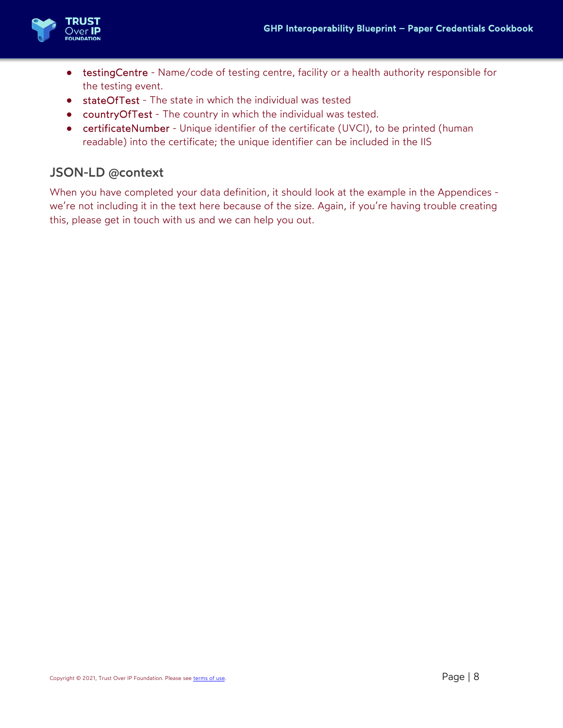

- testingCentre Name/code of testing centre, facility or a health authority responsible for the testing event.
- stateOfTest The state in which the individual was tested
- countryOfTest The country in which the individual was tested.
- certificateNumber Unique identifier of the certificate (UVCI), to be printed (human readable) into the certificate; the unique identifier can be included in the IIS

#### JSON-LD @context

When you have completed your data definition, it should look at the example in the Appendices we're not including it in the text here because of the size. Again, if you're having trouble creating this, please get in touch with us and we can help you out.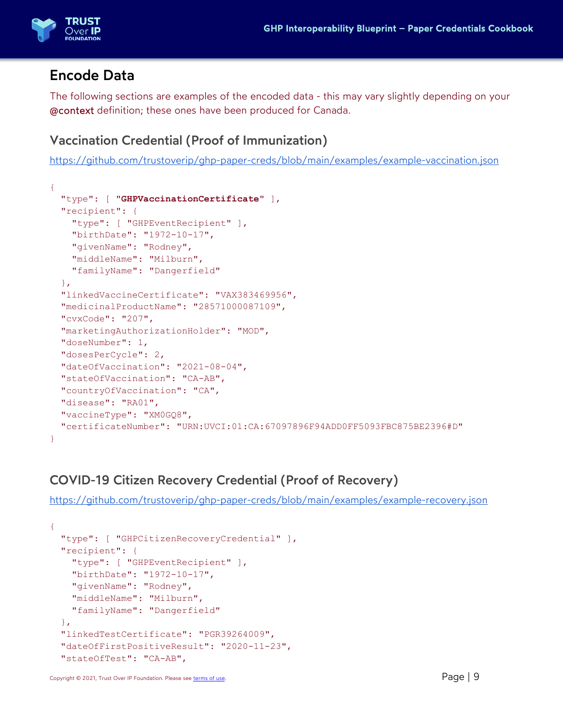

### Encode Data

The following sections are examples of the encoded data - this may vary slightly depending on your @context definition; these ones have been produced for Canada.

#### Vaccination Credential (Proof of Immunization)

https://github.com/trustoverip/ghp-paper-creds/blob/main/examples/example-vaccination.json

```
{ 
   "type": [ "GHPVaccinationCertificate" ], 
   "recipient": { 
     "type": [ "GHPEventRecipient" ], 
     "birthDate": "1972-10-17", 
    "givenName": "Rodney",
     "middleName": "Milburn", 
     "familyName": "Dangerfield" 
   }, 
   "linkedVaccineCertificate": "VAX383469956", 
   "medicinalProductName": "28571000087109", 
   "cvxCode": "207", 
  "marketingAuthorizationHolder": "MOD", 
   "doseNumber": 1, 
   "dosesPerCycle": 2, 
  "dateOfVaccination": "2021-08-04", 
   "stateOfVaccination": "CA-AB", 
  "countryOfVaccination": "CA", 
   "disease": "RA01", 
  "vaccineType": "XM0GQ8", 
   "certificateNumber": "URN:UVCI:01:CA:67097896F94ADD0FF5093FBC875BE2396#D" 
}
```
#### COVID-19 Citizen Recovery Credential (Proof of Recovery)

https://github.com/trustoverip/ghp-paper-creds/blob/main/examples/example-recovery.json

```
{ 
   "type": [ "GHPCitizenRecoveryCredential" ], 
  "recipient": { 
     "type": [ "GHPEventRecipient" ], 
     "birthDate": "1972-10-17", 
     "givenName": "Rodney", 
     "middleName": "Milburn", 
     "familyName": "Dangerfield" 
  }, 
  "linkedTestCertificate": "PGR39264009", 
   "dateOfFirstPositiveResult": "2020-11-23", 
  "stateOfTest": "CA-AB",
```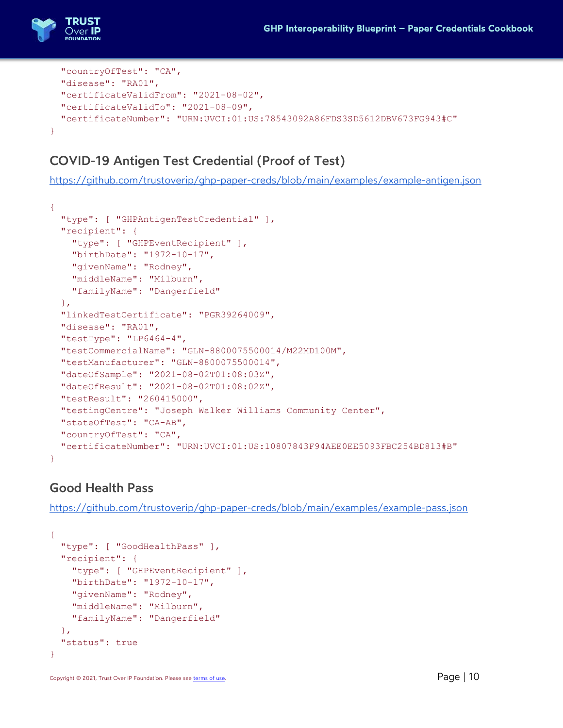

```
 "countryOfTest": "CA", 
   "disease": "RA01", 
   "certificateValidFrom": "2021-08-02", 
   "certificateValidTo": "2021-08-09", 
   "certificateNumber": "URN:UVCI:01:US:78543092A86FDS3SD5612DBV673FG943#C" 
}
```
#### COVID-19 Antigen Test Credential (Proof of Test)

https://github.com/trustoverip/ghp-paper-creds/blob/main/examples/example-antigen.json

```
{ 
   "type": [ "GHPAntigenTestCredential" ], 
   "recipient": { 
     "type": [ "GHPEventRecipient" ], 
     "birthDate": "1972-10-17", 
     "givenName": "Rodney", 
     "middleName": "Milburn", 
     "familyName": "Dangerfield" 
   }, 
   "linkedTestCertificate": "PGR39264009", 
   "disease": "RA01", 
   "testType": "LP6464-4", 
   "testCommercialName": "GLN-8800075500014/M22MD100M", 
   "testManufacturer": "GLN-8800075500014", 
   "dateOfSample": "2021-08-02T01:08:03Z", 
   "dateOfResult": "2021-08-02T01:08:02Z", 
   "testResult": "260415000", 
   "testingCentre": "Joseph Walker Williams Community Center", 
   "stateOfTest": "CA-AB", 
   "countryOfTest": "CA", 
   "certificateNumber": "URN:UVCI:01:US:10807843F94AEE0EE5093FBC254BD813#B" 
}
```
#### Good Health Pass

https://github.com/trustoverip/ghp-paper-creds/blob/main/examples/example-pass.json

```
{ 
   "type": [ "GoodHealthPass" ], 
   "recipient": { 
     "type": [ "GHPEventRecipient" ], 
     "birthDate": "1972-10-17", 
     "givenName": "Rodney", 
     "middleName": "Milburn", 
     "familyName": "Dangerfield" 
   }, 
   "status": true 
}
```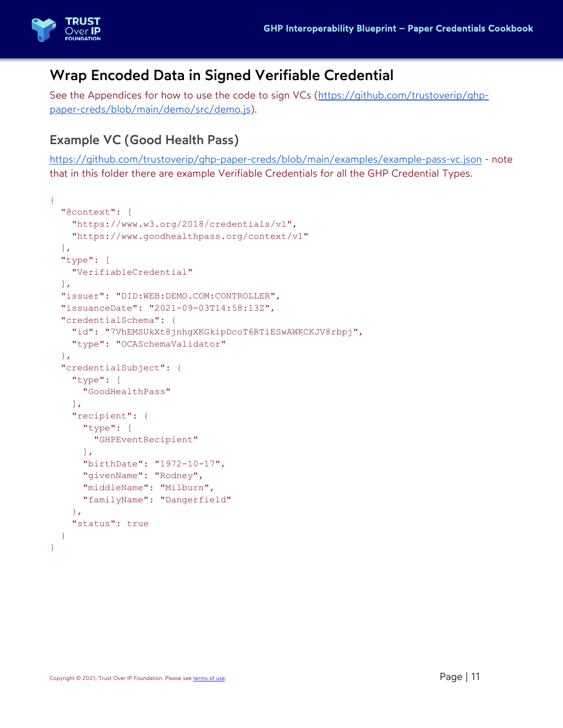

# Wrap Encoded Data in Signed Verifiable Credential

See the Appendices for how to use the code to sign VCs (https://github.com/trustoverip/ghppaper-creds/blob/main/demo/src/demo.js).

#### Example VC (Good Health Pass)

https://github.com/trustoverip/ghp-paper-creds/blob/main/examples/example-pass-vc.json - note that in this folder there are example Verifiable Credentials for all the GHP Credential Types.

```
{ 
   "@context": [ 
     "https://www.w3.org/2018/credentials/v1", 
     "https://www.goodhealthpass.org/context/v1" 
 \vert,
   "type": [ 
     "VerifiableCredential" 
  \left| \cdot \right| "issuer": "DID:WEB:DEMO.COM:CONTROLLER", 
   "issuanceDate": "2021-09-03T14:58:13Z", 
   "credentialSchema": { 
     "id": "7VhEMSUkXt8jnhgXKGkipDcoT6RTiESwAWKCKJV8rbpj", 
     "type": "OCASchemaValidator" 
   }, 
   "credentialSubject": { 
     "type": [ 
       "GoodHealthPass" 
    \frac{1}{\sqrt{2}} "recipient": { 
       "type": [ 
          "GHPEventRecipient" 
      \vert \cdot \vert "birthDate": "1972-10-17", 
        "givenName": "Rodney", 
       "middleName": "Milburn", 
        "familyName": "Dangerfield" 
     }, 
     "status": true 
   } 
}
```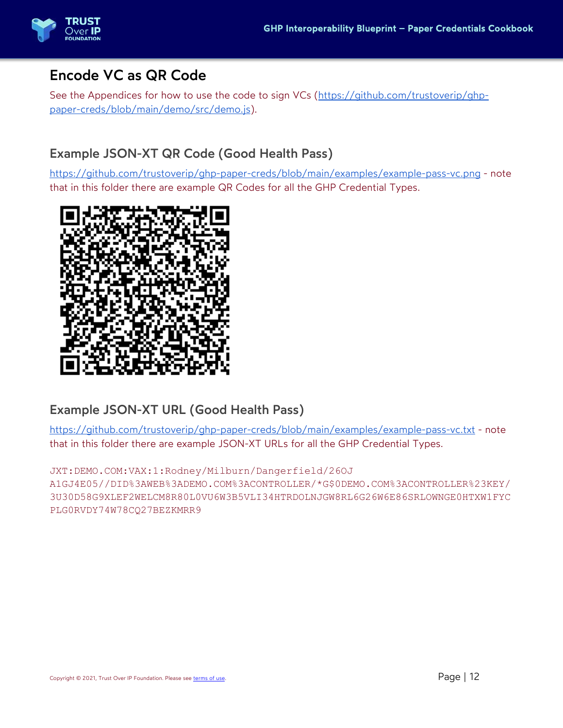

# Encode VC as QR Code

See the Appendices for how to use the code to sign VCs (https://github.com/trustoverip/ghppaper-creds/blob/main/demo/src/demo.js).

#### Example JSON-XT QR Code (Good Health Pass)

https://github.com/trustoverip/ghp-paper-creds/blob/main/examples/example-pass-vc.png - note that in this folder there are example QR Codes for all the GHP Credential Types.



#### Example JSON-XT URL (Good Health Pass)

https://github.com/trustoverip/ghp-paper-creds/blob/main/examples/example-pass-vc.txt - note that in this folder there are example JSON-XT URLs for all the GHP Credential Types.

JXT:DEMO.COM:VAX:1:Rodney/Milburn/Dangerfield/26OJ

A1GJ4E05//DID%3AWEB%3ADEMO.COM%3ACONTROLLER/\*G\$0DEMO.COM%3ACONTROLLER%23KEY/ 3U30D58G9XLEF2WELCM8R80L0VU6W3B5VLI34HTRDOLNJGW8RL6G26W6E86SRLOWNGE0HTXW1FYC PLG0RVDY74W78CQ27BEZKMRR9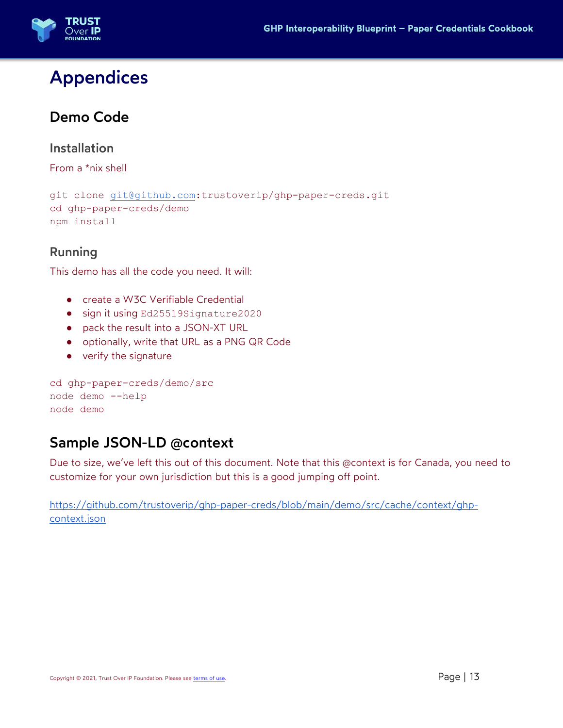

# Appendices

# Demo Code

#### Installation

From a \*nix shell

```
git clone git@github.com:trustoverip/ghp-paper-creds.git 
cd ghp-paper-creds/demo 
npm install
```
#### Running

This demo has all the code you need. It will:

- create a W3C Verifiable Credential
- sign it using Ed25519Signature2020
- pack the result into a JSON-XT URL
- optionally, write that URL as a PNG QR Code
- verify the signature

```
cd ghp-paper-creds/demo/src 
node demo --help 
node demo
```
### Sample JSON-LD @context

Due to size, we've left this out of this document. Note that this @context is for Canada, you need to customize for your own jurisdiction but this is a good jumping off point.

https://github.com/trustoverip/ghp-paper-creds/blob/main/demo/src/cache/context/ghpcontext.json